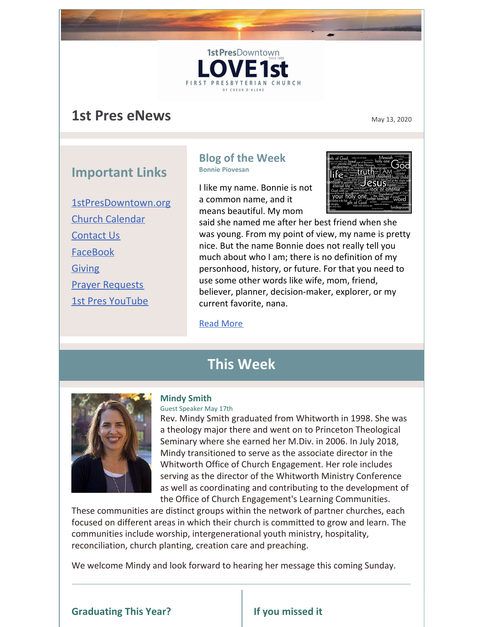# **1st Pres eNews** May 13, 2020

# **Important Links**

[1stPresDowntown.org](http://www.1stpresdowntown.org/) Church [Calendar](http://www.1stpresdowntown.org/calendar/) [Contact](http://www.1stpresdowntown.org/contact/) Us [FaceBook](https://www.facebook.com/cdadowntownchurch/) [Giving](https://www.eservicepayments.com/cgi-bin/Vanco_ver3.vps?appver3=Fi1giPL8kwX_Oe1AO50jRhFtjI3jPush-TiV_cWeMqos4NSQukCYDzKLUtTTUlsf2EvVVAEjqawDomKT1pbouWbIw4yEvEZZftNOfs1-eIM%3D&ver=3) Prayer [Requests](http://www.1stpresdowntown.org/contact/) 1st Pres [YouTube](https://www.youtube.com/channel/UCCfruZriuZfS2hVar79nXbQ)

### **Blog of the Week Bonnie Piovesan**

1st PresDowntown

FIRST PRESB

I like my name. Bonnie is not a common name, and it means beautiful. My mom



said she named me after her best friend when she was young. From my point of view, my name is pretty nice. But the name Bonnie does not really tell you much about who I am; there is no definition of my personhood, history, or future. For that you need to use some other words like wife, mom, friend, believer, planner, decision-maker, explorer, or my current favorite, nana.

#### Read [More](http://www.1stpresdowntown.org/beautiful-name/)

# **This Week**



#### **Mindy Smith**

Guest Speaker May 17th

Rev. Mindy Smith graduated from Whitworth in 1998. She was a theology major there and went on to Princeton Theological Seminary where she earned her M.Div. in 2006. In July 2018, Mindy transitioned to serve as the associate director in the Whitworth Office of Church Engagement. Her role includes serving as the director of the Whitworth Ministry Conference as well as coordinating and contributing to the development of the Office of Church Engagement's Learning Communities.

These communities are distinct groups within the network of partner churches, each focused on different areas in which their church is committed to grow and learn. The communities include worship, intergenerational youth ministry, hospitality, reconciliation, church planting, creation care and preaching.

We welcome Mindy and look forward to hearing her message this coming Sunday.

### **Graduating This Year? If you missed it**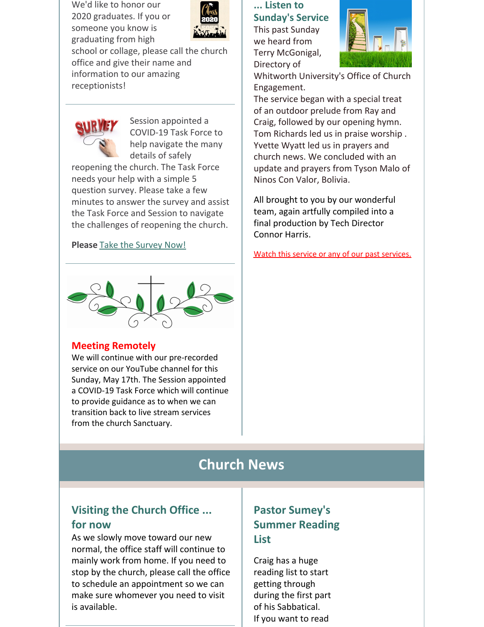We'd like to honor our 2020 graduates. If you or someone you know is graduating from high



school or collage, please call the church office and give their name and information to our amazing receptionists!



Session appointed a COVID-19 Task Force to help navigate the many details of safely

reopening the church. The Task Force needs your help with a simple 5 question survey. Please take a few minutes to answer the survey and assist the Task Force and Session to navigate the challenges of reopening the church.

### **Please** Take the [Survey](http://survey.constantcontact.com/survey/a07eh378yvgka4k17hh/start) Now!



### **Meeting Remotely**

We will continue with our pre-recorded service on our YouTube channel for this Sunday, May 17th. The Session appointed a COVID-19 Task Force which will continue to provide guidance as to when we can transition back to live stream services from the church Sanctuary.

### **... Listen to Sunday's Service**

This past Sunday we heard from Terry McGonigal, Directory of



Whitworth University's Office of Church Engagement.

The service began with a special treat of an outdoor prelude from Ray and Craig, followed by our opening hymn. Tom Richards led us in praise worship . Yvette Wyatt led us in prayers and church news. We concluded with an update and prayers from Tyson Malo of Ninos Con Valor, Bolivia.

All brought to you by our wonderful team, again artfully compiled into a final production by Tech Director Connor Harris.

Watch this service or any of our past [services.](http://r20.rs6.net/tn.jsp?t=y56g5labb.0.0.rook9gdab.0&id=preview&r=3&p=https%3A%2F%2Fwww.youtube.com%2Fchannel%2FUCCfruZriuZfS2hVar79nXbQ)

# **Church News**

# **Visiting the Church Office ... for now**

As we slowly move toward our new normal, the office staff will continue to mainly work from home. If you need to stop by the church, please call the office to schedule an appointment so we can make sure whomever you need to visit is available.

# **Pastor Sumey's Summer Reading List**

Craig has a huge reading list to start getting through during the first part of his Sabbatical. If you want to read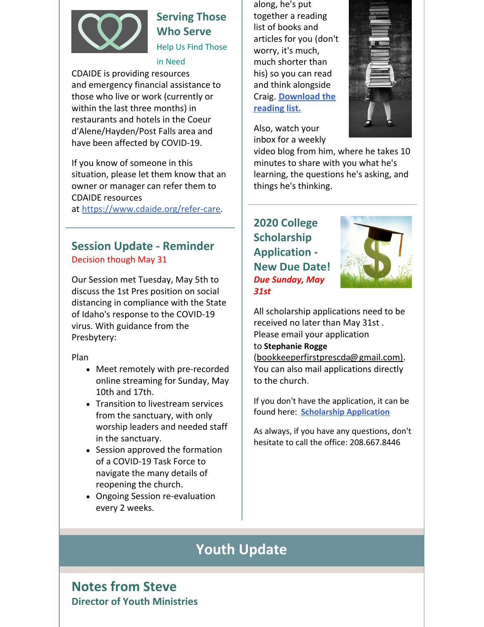

# **Serving Those Who Serve**

Help Us Find Those

in Need

CDAIDE is providing resources and emergency financial assistance to those who live or work (currently or within the last three months) in restaurants and hotels in the Coeur d'Alene/Hayden/Post Falls area and have been affected by COVID-19.

If you know of someone in this situation, please let them know that an owner or manager can refer them to CDAIDE resources

at [https://www.cdaide.org/refer-care](http://r20.rs6.net/tn.jsp?t=y56g5labb.0.0.rook9gdab.0&id=preview&r=3&p=https%3A%2F%2Fwww.cdaide.org%2Frefer-care).

## **Session Update - Reminder** Decision though May 31

Our Session met Tuesday, May 5th to discuss the 1st Pres position on social distancing in compliance with the State of Idaho's response to the COVID-19 virus. With guidance from the Presbytery:

Plan

- Meet remotely with pre-recorded online streaming for Sunday, May 10th and 17th.
- Transition to livestream services from the sanctuary, with only worship leaders and needed staff in the sanctuary.
- Session approved the formation of a COVID-19 Task Force to navigate the many details of reopening the church.
- Ongoing Session re-evaluation every 2 weeks.

along, he's put together a reading list of books and articles for you (don't worry, it's much, much shorter than his) so you can read and think alongside Craig. **[Download](https://files.constantcontact.com/1d935adc001/1abf8692-150f-4ac3-9390-c817944dc3ce.pdf) the reading list.**



Also, watch your inbox for a weekly

video blog from him, where he takes 10 minutes to share with you what he's learning, the questions he's asking, and things he's thinking.

# **2020 College Scholarship Application - New Due Date!** *Due Sunday, May 31st*



All scholarship applications need to be received no later than May 31st . Please email your application

### to **[Stephanie](mailto:bookkeeperfirstprescda@gmail.com) Rogge**

(bookkeeperfirstprescda@gmail.com). You can also mail applications directly to the church.

If you don't have the application, it can be found here: **[Scholarship](http://r20.rs6.net/tn.jsp?t=y56g5labb.0.0.rook9gdab.0&id=preview&r=3&p=http%3A%2F%2Fwww.1stpresdowntown.org%2Fed-scholarship-application%2F) Application**

As always, if you have any questions, don't hesitate to call the office: 208.667.8446

# **Youth Update**

# **Notes from Steve Director of Youth Ministries**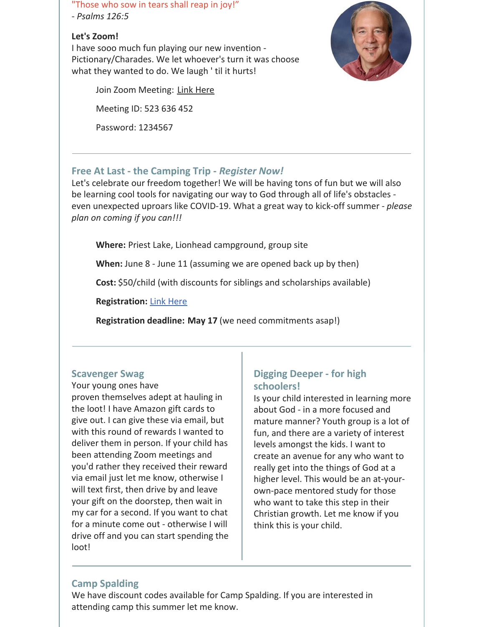"Those who sow in tears shall reap in joy!"

*- Psalms 126:5*

### **Let's Zoom!**

I have sooo much fun playing our new invention - Pictionary/Charades. We let whoever's turn it was choose what they wanted to do. We laugh ' til it hurts!

Join Zoom Meeting: Link [Here](https://us02web.zoom.us/j/523636452?pwd=RGgxNkhNT3pRZnFWVFZnNThVblpMQT09)

Meeting ID: 523 636 452

Password: 1234567



### **Free At Last - the Camping Trip -** *Register Now!*

Let's celebrate our freedom together! We will be having tons of fun but we will also be learning cool tools for navigating our way to God through all of life's obstacles even unexpected uproars like COVID-19. What a great way to kick-off summer - *please plan on coming if you can!!!*

**Where:** Priest Lake, Lionhead campground, group site

**When:** June 8 - June 11 (assuming we are opened back up by then)

**Cost:** \$50/child (with discounts for siblings and scholarships available)

**Registration:** Link [Here](https://1stpres.churchcenter.com/registrations/events/419932)

**Registration deadline: May 17** (we need commitments asap!)

### **Scavenger Swag**

Your young ones have

proven themselves adept at hauling in the loot! I have Amazon gift cards to give out. I can give these via email, but with this round of rewards I wanted to deliver them in person. If your child has been attending Zoom meetings and you'd rather they received their reward via email just let me know, otherwise I will text first, then drive by and leave your gift on the doorstep, then wait in my car for a second. If you want to chat for a minute come out - otherwise I will drive off and you can start spending the loot!

### **Digging Deeper - for high schoolers!**

Is your child interested in learning more about God - in a more focused and mature manner? Youth group is a lot of fun, and there are a variety of interest levels amongst the kids. I want to create an avenue for any who want to really get into the things of God at a higher level. This would be an at-yourown-pace mentored study for those who want to take this step in their Christian growth. Let me know if you think this is your child.

### **Camp Spalding**

We have discount codes available for Camp Spalding. If you are interested in attending camp this summer let me know.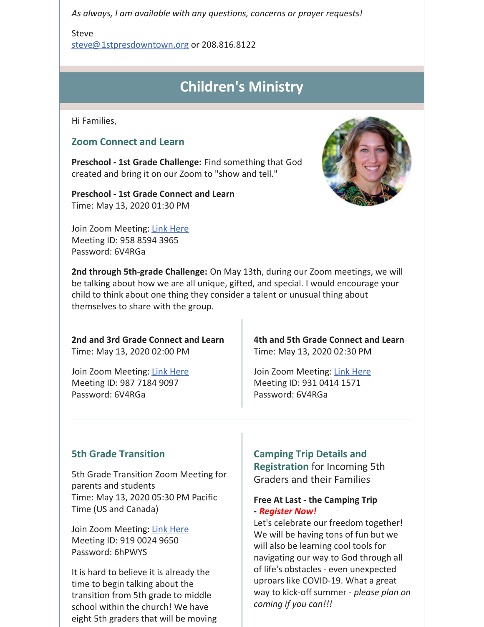*As always, I am available with any questions, concerns or prayer requests!*

Steve

[steve@1stpresdowntown.org](mailto:steve@1stpresdowntown.org) or 208.816.8122

# **Children's Ministry**

Hi Families,

### **Zoom Connect and Learn**

**Preschool - 1st Grade Challenge:** Find something that God created and bring it on our Zoom to "show and tell."

**Preschool - 1st Grade Connect and Learn** Time: May 13, 2020 01:30 PM

Join Zoom Meeting: Link [Here](https://zoom.us/j/95885943965?pwd=L0R0UVFHOUZLQTlnMlJ4dVZRQ3NnQT09) Meeting ID: 958 8594 3965 Password: 6V4RGa

**2nd through 5th-grade Challenge:** On May 13th, during our Zoom meetings, we will be talking about how we are all unique, gifted, and special. I would encourage your child to think about one thing they consider a talent or unusual thing about themselves to share with the group.

**2nd and 3rd Grade Connect and Learn** Time: May 13, 2020 02:00 PM

Join Zoom Meeting: Link [Here](https://zoom.us/j/98771849097?pwd=bkRBQmpXaU10ZDAxRHhDdmNCUWpkdz09) Meeting ID: 987 7184 9097 Password: 6V4RGa

**4th and 5th Grade Connect and Learn** Time: May 13, 2020 02:30 PM

Join Zoom Meeting: Link [Here](https://zoom.us/j/93104141571?pwd=cHRZVS9sMmtickNXSTBjMVJhbEk2Zz09) Meeting ID: 931 0414 1571 Password: 6V4RGa

### **5th Grade Transition**

5th Grade Transition Zoom Meeting for parents and students Time: May 13, 2020 05:30 PM Pacific Time (US and Canada)

Join Zoom Meeting: Link [Here](https://zoom.us/j/91900249650?pwd=aDJjUlBYaStqK0ZRQTEzZi9sN0x5dz09) Meeting ID: 919 0024 9650 Password: 6hPWYS

It is hard to believe it is already the time to begin talking about the transition from 5th grade to middle school within the church! We have eight 5th graders that will be moving

### **Camping Trip Details and**

**Registration** for Incoming 5th Graders and their Families

### **Free At Last - the Camping Trip -** *Register Now!*

Let's celebrate our freedom together! We will be having tons of fun but we will also be learning cool tools for navigating our way to God through all of life's obstacles - even unexpected uproars like COVID-19. What a great way to kick-off summer - *please plan on coming if you can!!!*

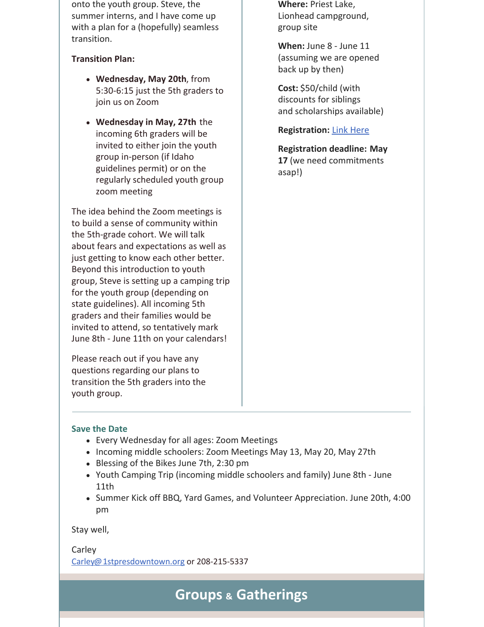onto the youth group. Steve, the summer interns, and I have come up with a plan for a (hopefully) seamless transition.

### **Transition Plan:**

- **Wednesday, May 20th**, from 5:30-6:15 just the 5th graders to join us on Zoom
- **Wednesday in May, 27th** the incoming 6th graders will be invited to either join the youth group in-person (if Idaho guidelines permit) or on the regularly scheduled youth group zoom meeting

The idea behind the Zoom meetings is to build a sense of community within the 5th-grade cohort. We will talk about fears and expectations as well as just getting to know each other better. Beyond this introduction to youth group, Steve is setting up a camping trip for the youth group (depending on state guidelines). All incoming 5th graders and their families would be invited to attend, so tentatively mark June 8th - June 11th on your calendars!

Please reach out if you have any questions regarding our plans to transition the 5th graders into the youth group.

**Where:** Priest Lake, Lionhead campground, group site

**When:** June 8 - June 11 (assuming we are opened back up by then)

**Cost:** \$50/child (with discounts for siblings and scholarships available)

### **Registration:** Link [Here](https://1stpres.churchcenter.com/registrations/events/419932)

**Registration deadline: May 17** (we need commitments asap!)

### **Save the Date**

- Every Wednesday for all ages: Zoom Meetings
- Incoming middle schoolers: Zoom Meetings May 13, May 20, May 27th
- Blessing of the Bikes June 7th, 2:30 pm
- Youth Camping Trip (incoming middle schoolers and family) June 8th June 11th
- Summer Kick off BBQ, Yard Games, and Volunteer Appreciation. June 20th, 4:00 pm

Stay well,

Carley [Carley@1stpresdowntown.org](mailto:Carley@1stpresdowntown.org) or 208-215-5337

**Groups & Gatherings**